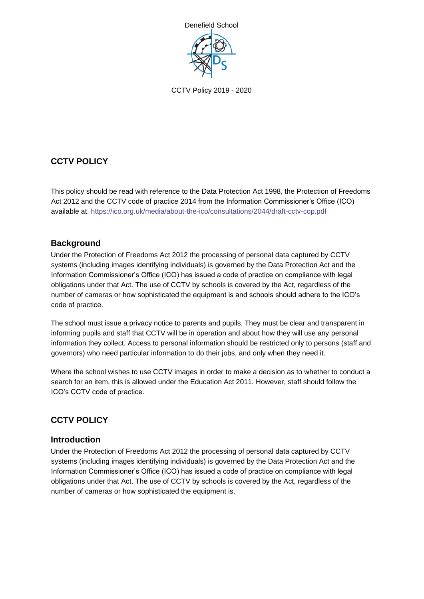

# **CCTV POLICY**

This policy should be read with reference to the Data Protection Act 1998, the Protection of Freedoms Act 2012 and the CCTV code of practice 2014 from the Information Commissioner's Office (ICO) available at. https://ico.org.uk/media/about-the-ico/consultations/2044/draft-cctv-cop.pdf

# **Background**

Under the Protection of Freedoms Act 2012 the processing of personal data captured by CCTV systems (including images identifying individuals) is governed by the Data Protection Act and the Information Commissioner's Office (ICO) has issued a code of practice on compliance with legal obligations under that Act. The use of CCTV by schools is covered by the Act, regardless of the number of cameras or how sophisticated the equipment is and schools should adhere to the ICO's code of practice.

The school must issue a privacy notice to parents and pupils. They must be clear and transparent in informing pupils and staff that CCTV will be in operation and about how they will use any personal information they collect. Access to personal information should be restricted only to persons (staff and governors) who need particular information to do their jobs, and only when they need it.

Where the school wishes to use CCTV images in order to make a decision as to whether to conduct a search for an item, this is allowed under the Education Act 2011. However, staff should follow the ICO's CCTV code of practice.

# **CCTV POLICY**

### **Introduction**

Under the Protection of Freedoms Act 2012 the processing of personal data captured by CCTV systems (including images identifying individuals) is governed by the Data Protection Act and the Information Commissioner's Office (ICO) has issued a code of practice on compliance with legal obligations under that Act. The use of CCTV by schools is covered by the Act, regardless of the number of cameras or how sophisticated the equipment is.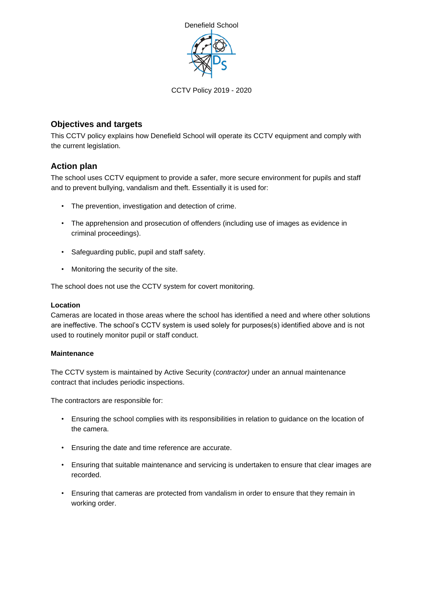

### **Objectives and targets**

This CCTV policy explains how Denefield School will operate its CCTV equipment and comply with the current legislation.

### **Action plan**

The school uses CCTV equipment to provide a safer, more secure environment for pupils and staff and to prevent bullying, vandalism and theft. Essentially it is used for:

- The prevention, investigation and detection of crime.
- The apprehension and prosecution of offenders (including use of images as evidence in criminal proceedings).
- Safeguarding public, pupil and staff safety.
- Monitoring the security of the site.

The school does not use the CCTV system for covert monitoring.

#### **Location**

Cameras are located in those areas where the school has identified a need and where other solutions are ineffective. The school's CCTV system is used solely for purposes(s) identified above and is not used to routinely monitor pupil or staff conduct.

#### **Maintenance**

The CCTV system is maintained by Active Security (*contractor)* under an annual maintenance contract that includes periodic inspections.

The contractors are responsible for:

- Ensuring the school complies with its responsibilities in relation to guidance on the location of the camera.
- Ensuring the date and time reference are accurate.
- Ensuring that suitable maintenance and servicing is undertaken to ensure that clear images are recorded.
- Ensuring that cameras are protected from vandalism in order to ensure that they remain in working order.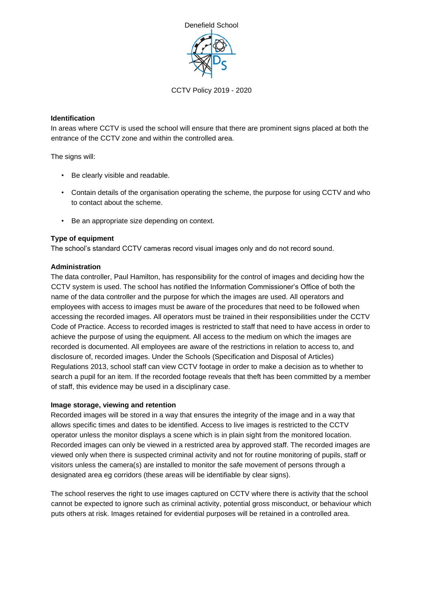

#### **Identification**

In areas where CCTV is used the school will ensure that there are prominent signs placed at both the entrance of the CCTV zone and within the controlled area.

The signs will:

- Be clearly visible and readable.
- Contain details of the organisation operating the scheme, the purpose for using CCTV and who to contact about the scheme.
- Be an appropriate size depending on context.

#### **Type of equipment**

The school's standard CCTV cameras record visual images only and do not record sound.

#### **Administration**

The data controller, Paul Hamilton, has responsibility for the control of images and deciding how the CCTV system is used. The school has notified the Information Commissioner's Office of both the name of the data controller and the purpose for which the images are used. All operators and employees with access to images must be aware of the procedures that need to be followed when accessing the recorded images. All operators must be trained in their responsibilities under the CCTV Code of Practice. Access to recorded images is restricted to staff that need to have access in order to achieve the purpose of using the equipment. All access to the medium on which the images are recorded is documented. All employees are aware of the restrictions in relation to access to, and disclosure of, recorded images. Under the Schools (Specification and Disposal of Articles) Regulations 2013, school staff can view CCTV footage in order to make a decision as to whether to search a pupil for an item. If the recorded footage reveals that theft has been committed by a member of staff, this evidence may be used in a disciplinary case.

#### **Image storage, viewing and retention**

Recorded images will be stored in a way that ensures the integrity of the image and in a way that allows specific times and dates to be identified. Access to live images is restricted to the CCTV operator unless the monitor displays a scene which is in plain sight from the monitored location. Recorded images can only be viewed in a restricted area by approved staff. The recorded images are viewed only when there is suspected criminal activity and not for routine monitoring of pupils, staff or visitors unless the camera(s) are installed to monitor the safe movement of persons through a designated area eg corridors (these areas will be identifiable by clear signs).

The school reserves the right to use images captured on CCTV where there is activity that the school cannot be expected to ignore such as criminal activity, potential gross misconduct, or behaviour which puts others at risk. Images retained for evidential purposes will be retained in a controlled area.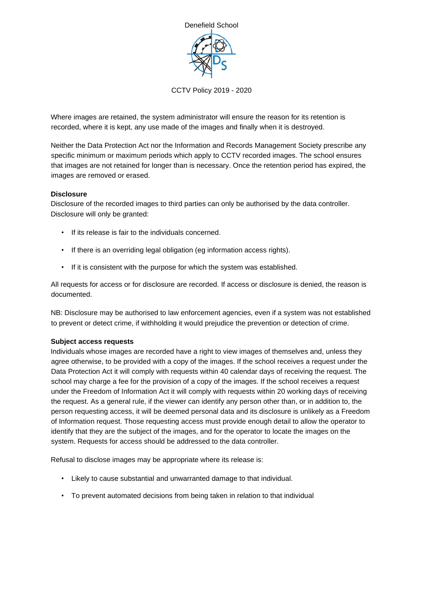

Where images are retained, the system administrator will ensure the reason for its retention is recorded, where it is kept, any use made of the images and finally when it is destroyed.

Neither the Data Protection Act nor the Information and Records Management Society prescribe any specific minimum or maximum periods which apply to CCTV recorded images. The school ensures that images are not retained for longer than is necessary. Once the retention period has expired, the images are removed or erased.

#### **Disclosure**

Disclosure of the recorded images to third parties can only be authorised by the data controller. Disclosure will only be granted:

- If its release is fair to the individuals concerned.
- If there is an overriding legal obligation (eg information access rights).
- If it is consistent with the purpose for which the system was established.

All requests for access or for disclosure are recorded. If access or disclosure is denied, the reason is documented.

NB: Disclosure may be authorised to law enforcement agencies, even if a system was not established to prevent or detect crime, if withholding it would prejudice the prevention or detection of crime.

#### **Subject access requests**

Individuals whose images are recorded have a right to view images of themselves and, unless they agree otherwise, to be provided with a copy of the images. If the school receives a request under the Data Protection Act it will comply with requests within 40 calendar days of receiving the request. The school may charge a fee for the provision of a copy of the images. If the school receives a request under the Freedom of Information Act it will comply with requests within 20 working days of receiving the request. As a general rule, if the viewer can identify any person other than, or in addition to, the person requesting access, it will be deemed personal data and its disclosure is unlikely as a Freedom of Information request. Those requesting access must provide enough detail to allow the operator to identify that they are the subject of the images, and for the operator to locate the images on the system. Requests for access should be addressed to the data controller.

Refusal to disclose images may be appropriate where its release is:

- Likely to cause substantial and unwarranted damage to that individual.
- To prevent automated decisions from being taken in relation to that individual